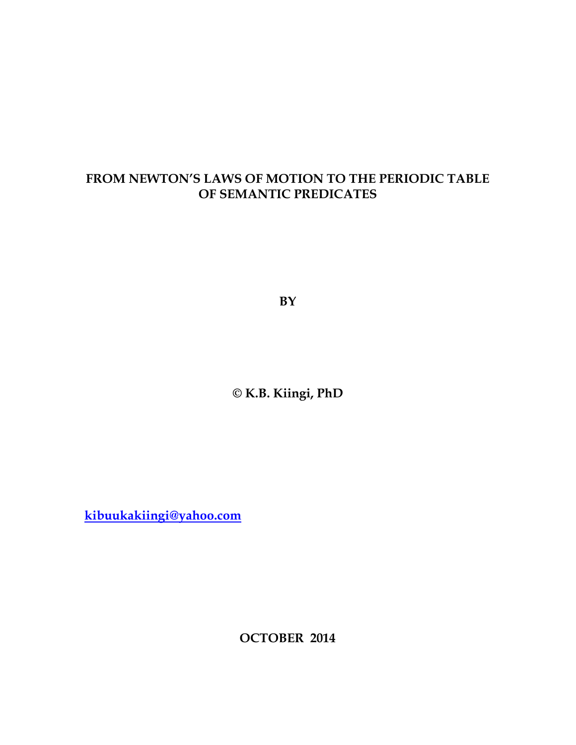# **FROM NEWTON'S LAWS OF MOTION TO THE PERIODIC TABLE OF SEMANTIC PREDICATES**

**BY** 

**© K.B. Kiingi, PhD** 

**kibuukakiingi@yahoo.com**

**OCTOBER 2014**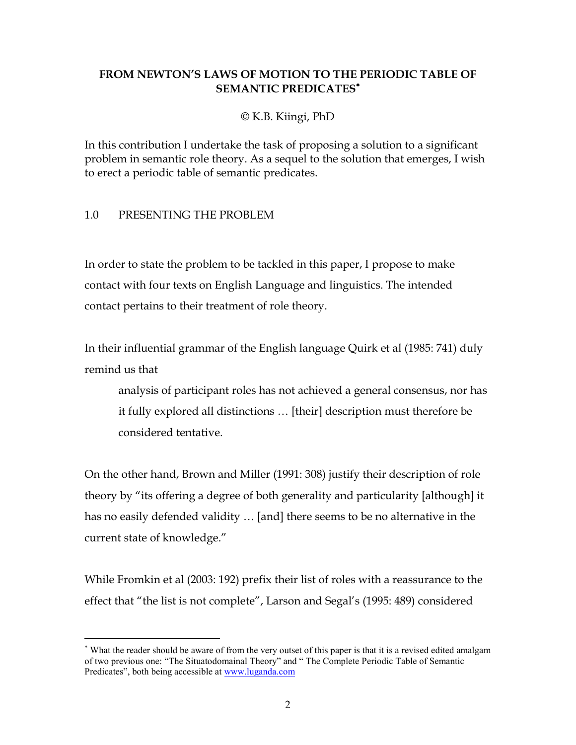# **FROM NEWTON'S LAWS OF MOTION TO THE PERIODIC TABLE OF SEMANTIC PREDICATES**<sup>∗</sup>

### © K.B. Kiingi, PhD

In this contribution I undertake the task of proposing a solution to a significant problem in semantic role theory. As a sequel to the solution that emerges, I wish to erect a periodic table of semantic predicates.

### 1.0 PRESENTING THE PROBLEM

-

In order to state the problem to be tackled in this paper, I propose to make contact with four texts on English Language and linguistics. The intended contact pertains to their treatment of role theory.

In their influential grammar of the English language Quirk et al (1985: 741) duly remind us that

analysis of participant roles has not achieved a general consensus, nor has it fully explored all distinctions … [their] description must therefore be considered tentative.

On the other hand, Brown and Miller (1991: 308) justify their description of role theory by "its offering a degree of both generality and particularity [although] it has no easily defended validity … [and] there seems to be no alternative in the current state of knowledge."

While Fromkin et al (2003: 192) prefix their list of roles with a reassurance to the effect that "the list is not complete", Larson and Segal's (1995: 489) considered

<sup>∗</sup> What the reader should be aware of from the very outset of this paper is that it is a revised edited amalgam of two previous one: "The Situatodomainal Theory" and " The Complete Periodic Table of Semantic Predicates", both being accessible at www.luganda.com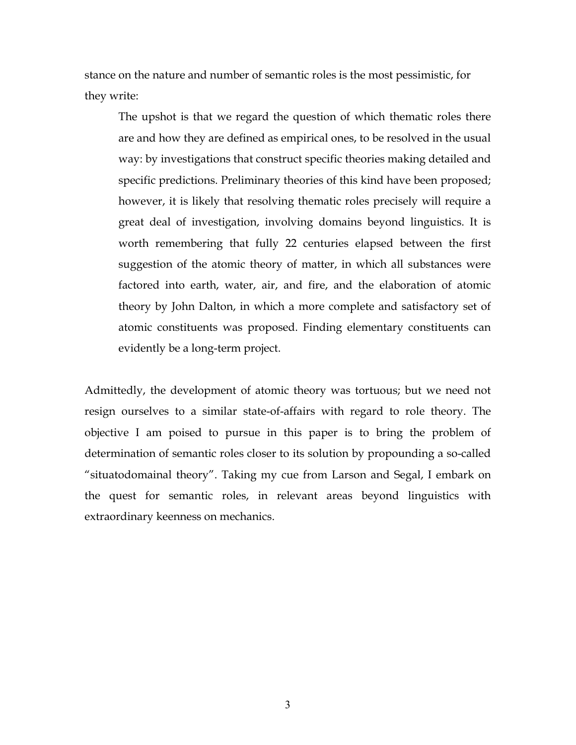stance on the nature and number of semantic roles is the most pessimistic, for they write:

The upshot is that we regard the question of which thematic roles there are and how they are defined as empirical ones, to be resolved in the usual way: by investigations that construct specific theories making detailed and specific predictions. Preliminary theories of this kind have been proposed; however, it is likely that resolving thematic roles precisely will require a great deal of investigation, involving domains beyond linguistics. It is worth remembering that fully 22 centuries elapsed between the first suggestion of the atomic theory of matter, in which all substances were factored into earth, water, air, and fire, and the elaboration of atomic theory by John Dalton, in which a more complete and satisfactory set of atomic constituents was proposed. Finding elementary constituents can evidently be a long-term project.

Admittedly, the development of atomic theory was tortuous; but we need not resign ourselves to a similar state-of-affairs with regard to role theory. The objective I am poised to pursue in this paper is to bring the problem of determination of semantic roles closer to its solution by propounding a so-called "situatodomainal theory". Taking my cue from Larson and Segal, I embark on the quest for semantic roles, in relevant areas beyond linguistics with extraordinary keenness on mechanics.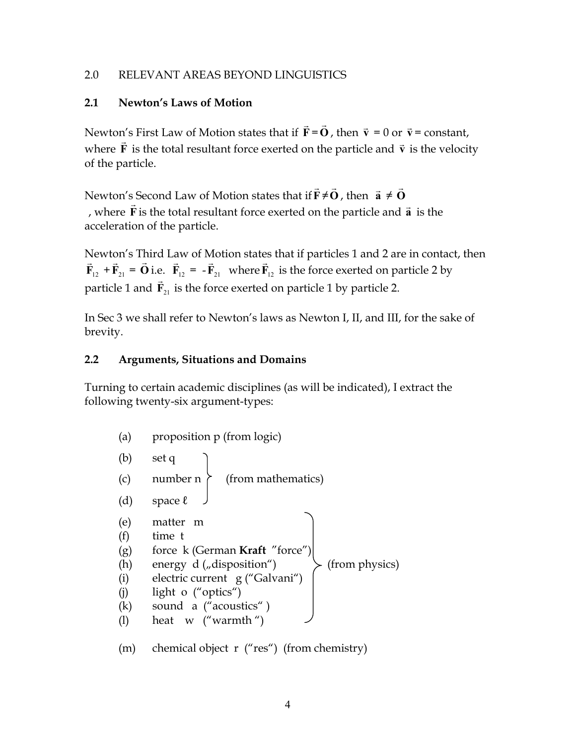### 2.0 RELEVANT AREAS BEYOND LINGUISTICS

# **2.1 Newton's Laws of Motion**

Newton's First Law of Motion states that if **F**  $\rightarrow$ =**O** r , then  $\vec{v} = 0$  or  $\vec{v}$ = constant, where **F** ⊥<br> $\rightarrow$ is the total resultant force exerted on the particle and *v*  is the velocity of the particle.

Newton's Second Law of Motion states that if**F**  $\rightarrow$ ≠**O**  $\rightarrow$ , then  $\vec{a} \neq \vec{0}$ r , where **F** is the total resultant force exerted on the particle and **a** r  $\overline{\phantom{a}}$  is the acceleration of the particle.

Newton's Third Law of Motion states that if particles 1 and 2 are in contact, then  $\vec{F}_{12} + \vec{F}_{21} = \vec{O}$  i.e.  $\vec{F}_{12} = -\vec{F}_{21}$  where  $\vec{F}_{12}$  is the force exerted on particle 2 by particle 1 and  $\vec{F}_{21}$  is the force exerted on particle 1 by particle 2.

In Sec 3 we shall refer to Newton's laws as Newton I, II, and III, for the sake of brevity.

# **2.2 Arguments, Situations and Domains**

Turning to certain academic disciplines (as will be indicated), I extract the following twenty-six argument-types:

| (a)                                           | proposition p (from logic)                                                                                                                                                                                  |
|-----------------------------------------------|-------------------------------------------------------------------------------------------------------------------------------------------------------------------------------------------------------------|
| (b)                                           | set q                                                                                                                                                                                                       |
| (c)                                           | number n<br>(from mathematics)                                                                                                                                                                              |
| (d)                                           | space $\ell$                                                                                                                                                                                                |
| (e)<br>(f)<br>(g)<br>(h)<br>(i)<br>(i)<br>(k) | matter<br>m<br>time t<br>force k (German Kraft "force")<br>energy d ("disposition")<br>(from physics)<br>electric current g ("Galvani")<br>light o ("optics")<br>sound a ("acoustics")<br>heat w ("warmth") |
|                                               |                                                                                                                                                                                                             |

(m) chemical object r ("res") (from chemistry)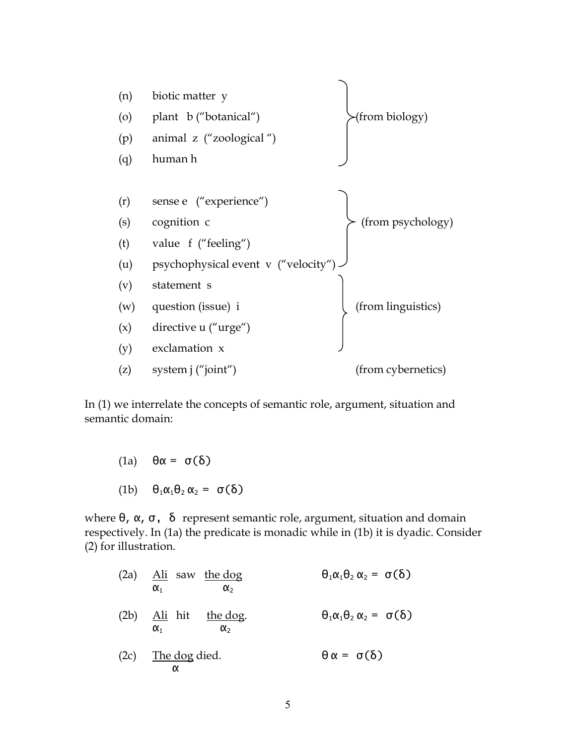

In (1) we interrelate the concepts of semantic role, argument, situation and semantic domain:

(1a)  $θα = σ(δ)$ (1b)  $\theta_1 \alpha_1 \theta_2 \alpha_2 = \sigma(\delta)$ 

where  $\theta$ ,  $\alpha$ ,  $\sigma$ , δ represent semantic role, argument, situation and domain respectively. In (1a) the predicate is monadic while in (1b) it is dyadic. Consider (2) for illustration.

| $(2a)$ Ali saw the dog<br>$\alpha_{1}$<br>$\alpha_{2}$  | $\theta_1 \alpha_1 \theta_2 \alpha_2 = \sigma(\delta)$ |
|---------------------------------------------------------|--------------------------------------------------------|
| $(2b)$ Ali hit the dog.<br>$\alpha_{2}$<br>$\alpha_{1}$ | $\theta_1 \alpha_1 \theta_2 \alpha_2 = \sigma(\delta)$ |
| $(2c)$ The dog died.<br>α                               | $\theta \alpha = \sigma(\delta)$                       |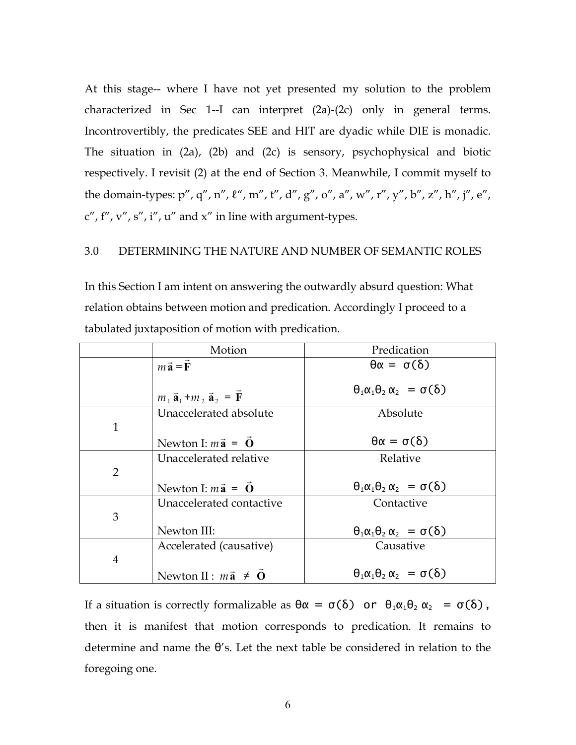At this stage-- where I have not yet presented my solution to the problem characterized in Sec 1--I can interpret (2a)-(2c) only in general terms. Incontrovertibly, the predicates SEE and HIT are dyadic while DIE is monadic. The situation in (2a), (2b) and (2c) is sensory, psychophysical and biotic respectively. I revisit (2) at the end of Section 3. Meanwhile, I commit myself to the domain-types: p", q", n",  $\ell$ ", m", t", d", g", o", a", w", r", y", b", z", h", j", e",  $c''$ , f'', v'', s'', i'', u'' and x'' in line with argument-types.

#### 3.0 DETERMINING THE NATURE AND NUMBER OF SEMANTIC ROLES

In this Section I am intent on answering the outwardly absurd question: What relation obtains between motion and predication. Accordingly I proceed to a tabulated juxtaposition of motion with predication.

|                | Motion                                    | Predication                                            |
|----------------|-------------------------------------------|--------------------------------------------------------|
|                | $m\vec{a} = \vec{F}$                      | $\theta \alpha = \sigma(\delta)$                       |
|                | $m_1 \vec{a}_1 + m_2 \vec{a}_2 = \vec{F}$ | $\theta_1 \alpha_1 \theta_2 \alpha_2 = \sigma(\delta)$ |
|                | Unaccelerated absolute                    | Absolute                                               |
| $\mathbf{1}$   |                                           |                                                        |
|                | Newton I: $m\vec{a} = \vec{O}$            | $\theta \alpha = \sigma(\delta)$                       |
|                | Unaccelerated relative                    | Relative                                               |
| $\overline{2}$ |                                           |                                                        |
|                | Newton I: $m\vec{a} = \vec{O}$            | $\theta_1 \alpha_1 \theta_2 \alpha_2 = \sigma(\delta)$ |
|                | Unaccelerated contactive                  | Contactive                                             |
| 3              |                                           |                                                        |
|                | Newton III:                               | $\theta_1 \alpha_1 \theta_2 \alpha_2 = \sigma(\delta)$ |
|                | Accelerated (causative)                   | Causative                                              |
| $\overline{4}$ |                                           |                                                        |
|                | Newton II : $m\vec{a} \neq \vec{0}$       | $\theta_1 \alpha_1 \theta_2 \alpha_2 = \sigma(\delta)$ |

If a situation is correctly formalizable as  $\theta \alpha = \sigma(\delta)$  or  $\theta_1 \alpha_1 \theta_2 \alpha_2 = \sigma(\delta)$ , then it is manifest that motion corresponds to predication. It remains to determine and name the  $\theta$ 's. Let the next table be considered in relation to the foregoing one.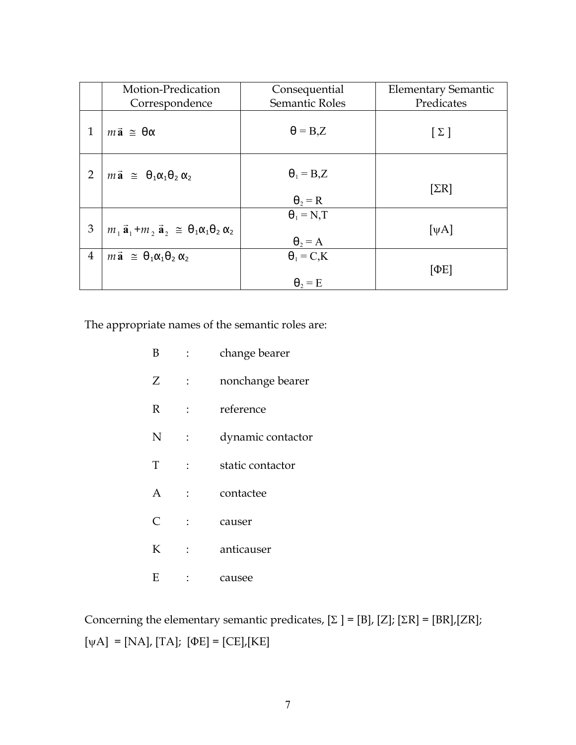|                | Motion-Predication                                                          | Consequential                            | <b>Elementary Semantic</b> |
|----------------|-----------------------------------------------------------------------------|------------------------------------------|----------------------------|
|                | Correspondence                                                              | Semantic Roles                           | Predicates                 |
| 1              | $m\vec{a} \equiv \theta \alpha$                                             | $\theta = B.Z$                           | $[\Sigma]$                 |
| $\overline{2}$ | $m\vec{a} \approx \theta_1 \alpha_1 \theta_2 \alpha_2$                      | $\theta_1 = B_z Z$<br>$\theta_2 = R$     | $[\Sigma R]$               |
| 3              | $m_1 \vec{a}_1 + m_2 \vec{a}_2 \approx \theta_1 \alpha_1 \theta_2 \alpha_2$ | $\theta_1 = N_{\rm T}$<br>$\theta_2 = A$ | [ $\psi$ A]                |
| $\overline{4}$ | $m\vec{a} \equiv \theta_1 \alpha_1 \theta_2 \alpha_2$                       | $\theta_1 = C, K$<br>$\theta_2 = E$      | [ΦE]                       |

The appropriate names of the semantic roles are:

| B | $\mathbb{R}^{\mathbb{Z}}$ | change bearer     |
|---|---------------------------|-------------------|
| Z | $\ddot{\cdot}$            | nonchange bearer  |
| R | $\mathbf{r}$              | reference         |
| N | $\ddot{\cdot}$            | dynamic contactor |
| T |                           | static contactor  |
| A | $\ddot{\cdot}$            | contactee         |
| C |                           | causer            |
| K | $\ddot{\cdot}$            | anticauser        |
| Ε |                           | causee            |

Concerning the elementary semantic predicates,  $[\Sigma] = [B]$ ,  $[Z]$ ;  $[\Sigma R] = [BR]$ ,  $[ZR]$ ;  $\texttt{[} \psi \texttt{A} \texttt{]} = \texttt{[NA]}, \texttt{[TA]}; \texttt{[} \Phi \texttt{E} \texttt{]} = \texttt{[CE]}, \texttt{[KE]}$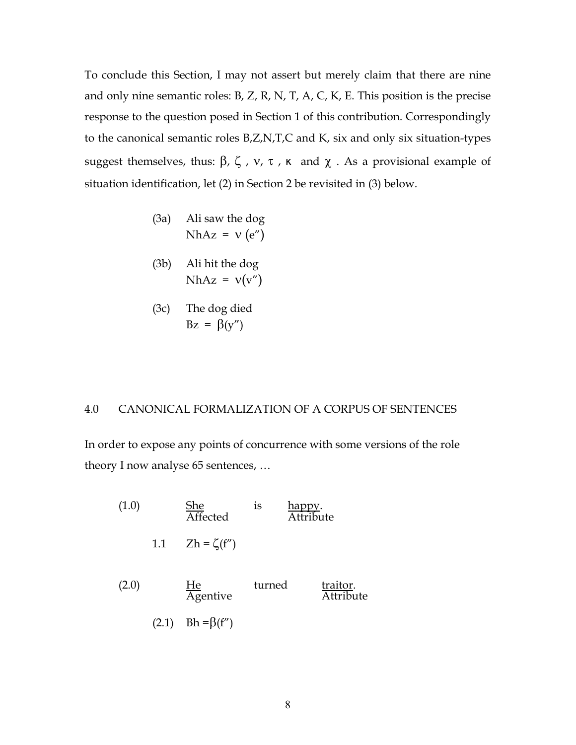To conclude this Section, I may not assert but merely claim that there are nine and only nine semantic roles: B, Z, R, N, T, A, C, K, E. This position is the precise response to the question posed in Section 1 of this contribution. Correspondingly to the canonical semantic roles B,Z,N,T,C and K, six and only six situation-types suggest themselves, thus: β, ζ, ν, τ, κ and  $\chi$  . As a provisional example of situation identification, let (2) in Section 2 be revisited in (3) below.

- (3a) Ali saw the dog NhAz =  $v$  (e")
- (3b) Ali hit the dog NhAz =  $v(v'')$
- (3c) The dog died  $Bz = \beta(y'')$

#### 4.0 CANONICAL FORMALIZATION OF A CORPUS OF SENTENCES

In order to expose any points of concurrence with some versions of the role theory I now analyse 65 sentences, …

| (1.0) |       | She<br>$\frac{1}{\text{Affected}}$ | 1S     | <u>happ</u><br>Attribute     |
|-------|-------|------------------------------------|--------|------------------------------|
|       | 1.1   | $Zh = \zeta(f'')$                  |        |                              |
| (2.0) |       | $\frac{He}{A$ gentive              | turned | traitor.<br><b>Attribute</b> |
|       | (2.1) | $Bh = \beta(f'')$                  |        |                              |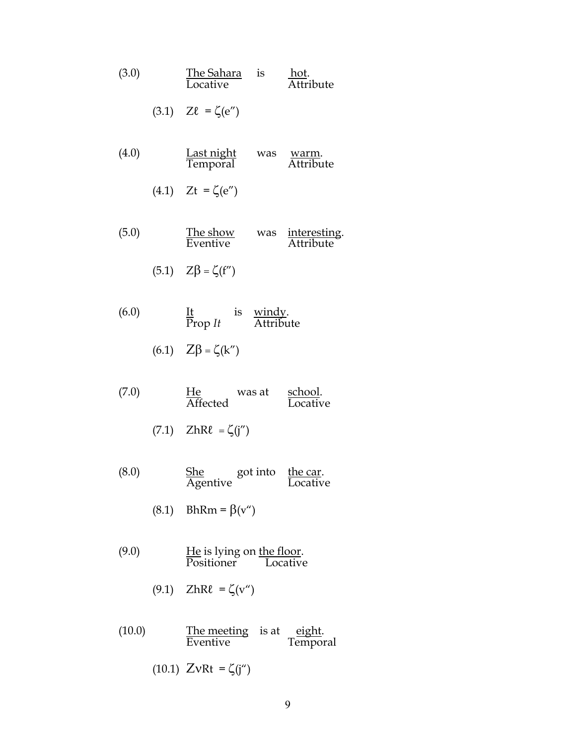| (3.0) | <u>The Sahara</u> is<br>Locative                                | hot.<br>Attribute  |
|-------|-----------------------------------------------------------------|--------------------|
|       | $(3.1)$ $Z\ell = \zeta(e'')$                                    |                    |
| (4.0) | <u>Last night</u> was<br>Temporal                               | warm.<br>Attribute |
|       | (4.1) $Zt = \zeta(e'')$                                         |                    |
| (5.0) | The show was interesting.<br>Eventive Attribute                 |                    |
|       | $(5.1)$ $Z\beta = \zeta(f'')$                                   |                    |
| (6.0) | $\frac{It}{Prop}$ is <u>windy</u> .<br>Trop <i>It</i> Attribute |                    |
|       | (6.1) $Z\beta = \zeta(k'')$                                     |                    |
| 7 Q O | He weest school                                                 |                    |

| (7.0) | He       | was at | school.  |
|-------|----------|--------|----------|
|       | Affected |        | Locative |

$$
(7.1) \quad \text{ZhRl} = \zeta(j'')
$$

 $(8.0)$  She got into the car. Agentive Locative

(8.1) BhRm =  $\beta(v'')$ 

- $(9.0)$  He is lying on the floor. Positioner Locative
	- (9.1)  $ZhR\ell = \zeta(v'')$
- $(10.0)$  The meeting is at eight. Eventive Temporal
	- (10.1)  $ZvRt = \zeta(j'')$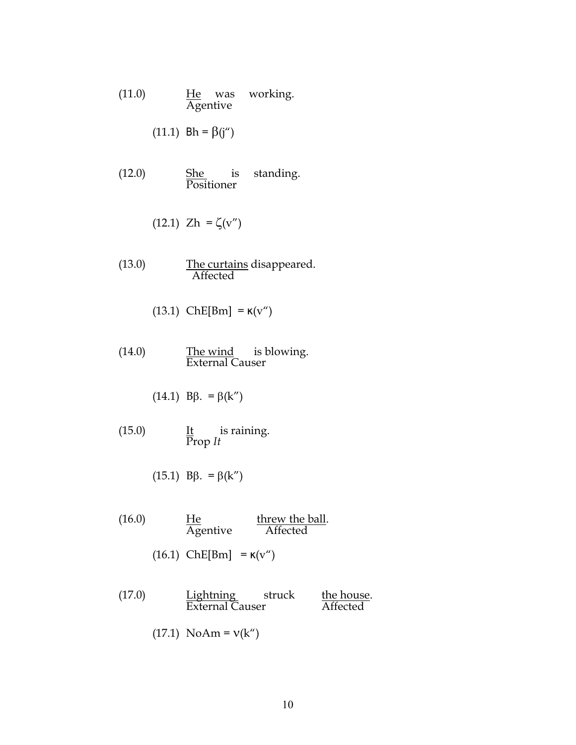- $(11.0)$   $He$  was working. Agentive
	- (11.1)  $Bh = \beta(j'')$
- $(12.0)$  She is standing. Positioner

$$
(12.1) \thinspace \text{Zh} = \zeta(v'')
$$

- (13.0) The curtains disappeared. **Affected** 
	- (13.1)  $ChE[Bm] = κ(v'')$
- $(14.0)$  The wind is blowing. External Causer
	- (14.1) Bβ. = β(k")
- $(15.0)$  It is raining.  $\overline{\text{Prop}}$  *It*

$$
(15.1) \text{ B}\beta. = \beta(k'')
$$

- (16.0)  $\frac{He}{A$  threw the ball.  $\overline{\text{Ag}}$ entive
	- (16.1)  $ChE[Bm] = \kappa(v'')$
- (17.0) Lightning struck the house. External Causer Affected
	- (17.1) NoAm =  $v(k'')$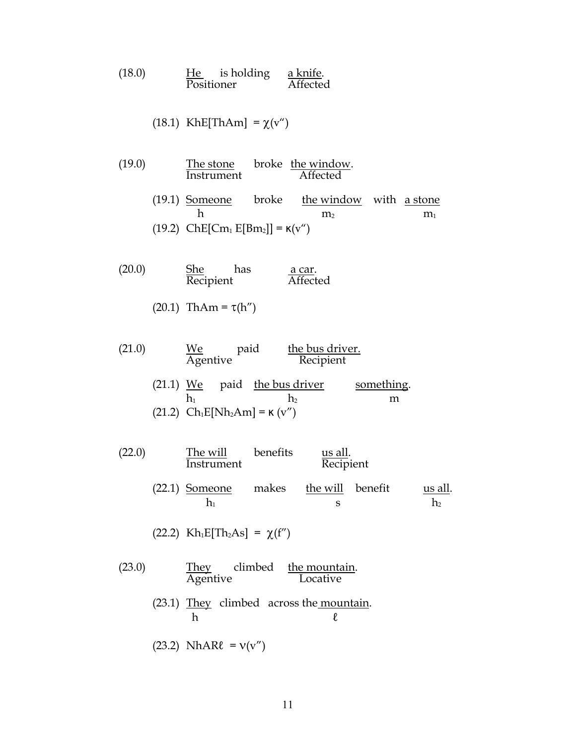| (18.0) | He | is holding | a knife. |
|--------|----|------------|----------|
|        |    | Positioner | Affected |

(18.1) KhE[ThAm] = 
$$
\chi(v'')
$$

- (19.0) The stone broke the window.<br>Instrument Affected **Instrument** (19.1) Someone broke the window with a stone h  $m_2$  m<sub>1</sub> (19.2)  $ChE[Cm_1 E[Bm_2]] = \kappa(v'')$
- (20.0) She has <u>a car</u>.<br>Recipient <del>Affected</del>  $\overline{\text{Rec}}$ ipient
	- (20.1) ThAm =  $τ(h'')$
- $(21.0)$  We paid the bus driver. Agentive Recipient (21.1) We paid the bus driver something.  $h_1$  h<sub>2</sub> m (21.2)  $Ch_1E[Nh_2Am] =$  κ (v")
- (22.0) The will benefits us all.<br>Instrument Recipi Recipient (22.1) Someone makes the will benefit us all.  $h_1$  s  $h_2$

(22.2)  $Kh_1E[Th_2As] = \chi(f'')$ 

(23.0)  $\frac{They}{Agentive}$  climbed the mountain.  $\overline{\text{Agentive}}$ (23.1) They climbed across the mountain.  $h$   $\ell$ 

$$
(23.2) \text{ NhARl} = \mathsf{v}(\mathsf{v}'')
$$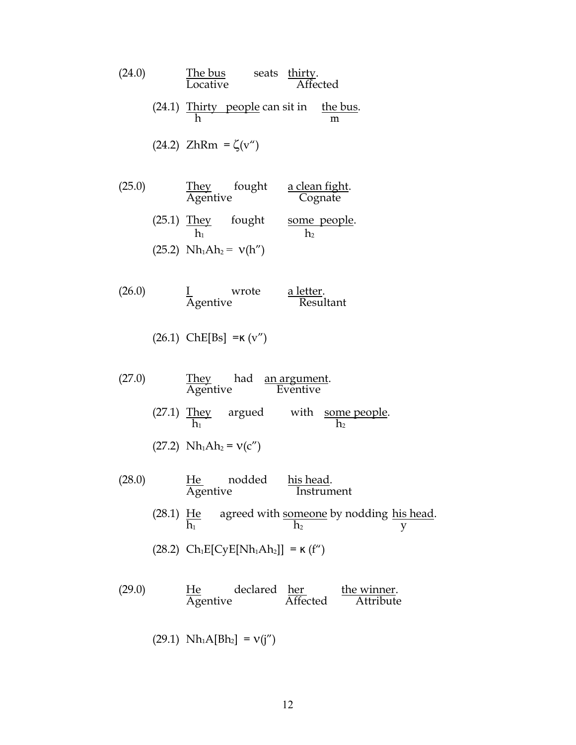| (24.0) | The bus seats thirty.<br>Locative Affected                                                               |
|--------|----------------------------------------------------------------------------------------------------------|
|        | (24.1) Thirty people can sit in the bus.<br>m                                                            |
|        | (24.2) ZhRm = $\zeta(v'')$                                                                               |
| (25.0) | They fought <u>a clean fight</u> .<br>Agentive Cognate                                                   |
|        | (25.1) They fought some people.<br>$h_1$ $h_2$                                                           |
|        | $(25.2)$ Nh <sub>1</sub> Ah <sub>2</sub> = $v(h'')$                                                      |
| (26.0) | <u>I</u> wrote <u>a letter</u> .<br>Agentive Resultant                                                   |
|        | $(26.1)$ ChE[Bs] = K (v")                                                                                |
| (27.0) | They had <u>an argument</u> .<br>Agentive Eventive                                                       |
|        | (27.1) They argued with some people.<br>h2                                                               |
|        | $(27.2)$ Nh <sub>1</sub> Ah <sub>2</sub> = $v(c'')$                                                      |
| (28.0) | <u>He</u> nodded <u>his-head</u> .<br>Instrument<br>Agentive                                             |
|        | (28.1) He agreed with <u>someone</u> by nodding <u>his head</u> .<br>$\frac{h_1}{v_1}$<br>h <sub>2</sub> |
|        | $(28.2)$ Ch <sub>1</sub> E[CyE[Nh <sub>1</sub> Ah <sub>2</sub> ]] = $\kappa$ (f <sup>"</sup> )           |
| (29.0) | He declared <u>her</u> the winner.<br>Agentive Affected Attribute                                        |
|        | $(29.1)$ Nh <sub>1</sub> A[Bh <sub>2</sub> ] = $v(j'')$                                                  |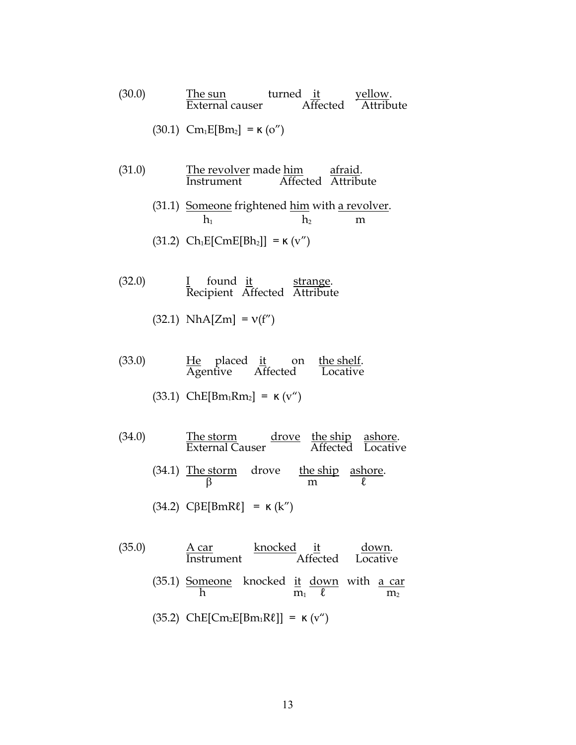(30.0) The sun  
External causer  
(30.1) 
$$
Em_1E[Bm_2] = \kappa(\text{o''})
$$
  
 $ext{Affected}$   $Attribute$ 

- (31.0) The revolver made him afraid.<br>Instrument Affected Attribu Affected Attribute
	- (31.1) Someone frightened him with a revolver.  $h_1$  h<sub>2</sub> m (31.2)  $Ch_1E[CmE[Bh_2]] =$  κ (v'')
- $(32.0)$  I found it strange.  $\frac{R}{\text{Recipient}}$  Affected Attribute
	- $(32.1)$  NhA[Zm] =  $v(f'')$
- $(33.0)$  He placed it on the shelf. Agentive Affected Locative
	- (33.1)  $ChE[Bm_1Rm_2] = \kappa (v'')$
- $(34.0)$  The storm drove the ship ashore. External Causer Affected Locative
	- (34.1) The storm drove the ship ashore.  $\beta$  m  $\ell$
	- (34.2)  $C\beta E[BmR\ell] = \kappa(k'')$
- (35.0) <u>A car</u> knocked <u>it</u> down. Instrument Affected Locative (35.1) Someone knocked it down with a car<br> $\frac{1}{m_1}\frac{1}{\ell}$  with  $\frac{1}{m_2}$  $\overline{m_1}$   $\overline{\ell}$   $\overline{m_2}$ (35.2)  $ChE[Cm<sub>2</sub>E[Bm<sub>1</sub>Rℓ]] = κ (v'')$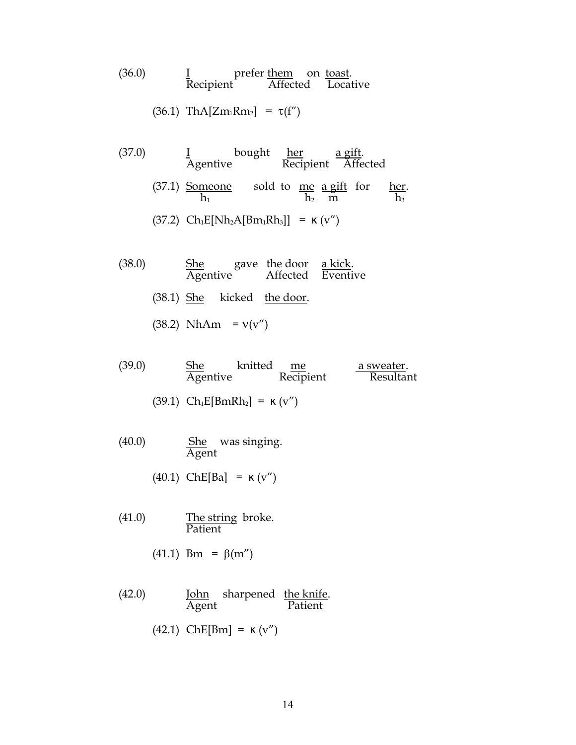| (36.0) |                        | prefer them on toast. |  |                   |
|--------|------------------------|-----------------------|--|-------------------|
|        | Recipient <sup>-</sup> |                       |  | Affected Locative |

$$
(36.1) \ ThA[Zm_1Rm_2] = \tau(f'')
$$

- $(37.0)$  I bought <u>her</u> a gift. Agentive Recipient Affected
	- $(37.1)$  Someone sold to me a gift for her.  $h_1$  h<sub>2</sub> m h<sub>3</sub>
	- (37.2)  $Ch_1E[Nh_2A[Bm_1Rh_3]] = K(v'')$
- $(38.0)$  She gave the door <u>a kick</u>. Agentive Affected Eventive
	- (38.1) She kicked the door.
	- (38.2)  $NhAm = v(v'')$
- $(39.0)$  She knitted <u>me a sweater</u>. Agentive Recipient Resultant
	- (39.1)  $Ch_1E[BrRh_2] = κ (v'')$
- $(40.0)$  She was singing. Agent
	- (40.1) ChE[Ba] =  $\kappa$  (v")
- $(41.0)$  The string broke. Patient
	- (41.1) Bm = β(m")
- (42.0) **John** sharpened <u>the knife</u>.<br>Agent **Patient Patient** (42.1) ChE[Bm] =  $\kappa$  (v'')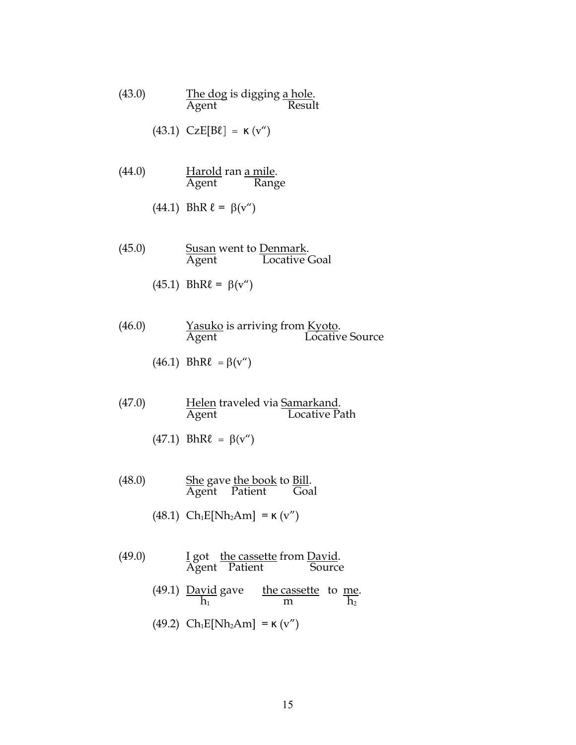(43.0) The dog is digging a hole. Agent Result

$$
(43.1) \quad CzE[B\ell] = \kappa(v'')
$$

- (44.0) **Harold ran <u>a mile</u>**.<br>Agent Rang Range
	- (44.1) BhR  $\ell = \beta(v'')$
- (45.0) Susan went to Denmark.<br>Agent Locative Locative Goal
	- (45.1)  $BhR\ell = β(v'')$
- (46.0) Yasuko is arriving from Kyoto.<br>Agent Locativ Locative Source
	- (46.1) BhR $\ell = \beta(v'')$
- (47.0) **Helen** traveled via **Samarkand.**<br>Agent Locative Pa Locative Path
	- (47.1) BhR $\ell = \beta(v'')$
- (48.0) She gave <u>the book</u> to <u>Bill</u>. Agent Patient Goal
	- (48.1)  $Ch_1E[Nh_2Am] = \kappa (v'')$
- $(49.0)$  I got the cassette from David. Agent Patient Source
	- $(49.1)$  David gave the cassette to me.  $h_1$  m  $h_2$
	- (49.2)  $Ch_1E[Nh_2Am] =$  κ (v")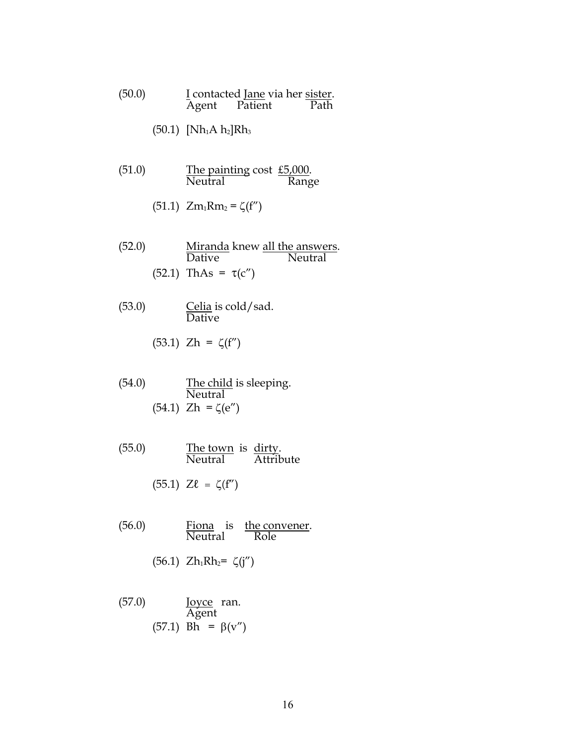| (50.0) |       | I contacted Jane via her sister. |      |
|--------|-------|----------------------------------|------|
|        | Agent | Patient                          | Path |

- $(50.1)$  [Nh<sub>1</sub>A h<sub>2</sub>]Rh<sub>3</sub>
- $(51.0)$  The painting cost  $£5,000$ . Neutral Range
	- (51.1)  $Zm_1Rm_2 = \zeta(f'')$
- (52.0) <u>Miranda</u> knew <u>all the answers</u>. Dative Neutral (52.1) ThAs =  $τ(c'')$
- $(53.0)$  Celia is cold/sad. Dative

(53.1) 
$$
Zh = \zeta(f'')
$$

- (54.0) The child is sleeping. **Neutral** (54.1)  $Zh = ζ(e'')$
- $(55.0)$  The town is dirty. Neutral Attribute

$$
(55.1) \quad Z\ell = \zeta(f'')
$$

 $(56.0)$  Fiona is the convener. Neutral Role

$$
(56.1) \;\; Zh_1Rh_2 = \zeta(j'')
$$

(57.0) Joyce ran. Agent (57.1) Bh = β(v")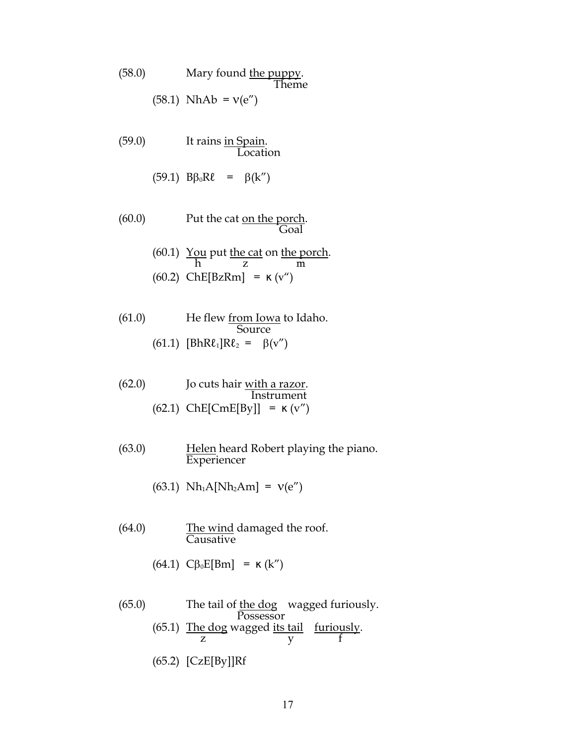|        | (58.0) | Mary found the puppy.<br>Theme                            |
|--------|--------|-----------------------------------------------------------|
|        |        | $(58.1)$ NhAb = $v(e'')$                                  |
| (59.0) |        | It rains in Spain.<br>Location                            |
|        |        | $(59.1)$ $B\beta_0R\ell = \beta(k'')$                     |
| (60.0) |        | Put the cat <u>on the porch</u> .<br>Goal                 |
|        |        | (60.1) You put the cat on the porch.<br>$\frac{1}{2}$     |
|        |        | $(60.2)$ ChE[BzRm] = $\kappa$ (v")                        |
| (61.0) |        | He flew <u>from Iowa</u> to Idaho.<br>Source              |
|        |        | (61.1) [ $BhR\ell_1$ ] $R\ell_2 = \beta(v'')$             |
| (62.0) |        | Jo cuts hair <u>with a razor</u> .<br>Instrument          |
|        |        | $(62.1)$ ChE[CmE[By]] = $\kappa$ (v")                     |
| (63.0) |        | Helen heard Robert playing the piano.<br>Experiencer      |
|        |        | $(63.1)$ Nh <sub>1</sub> A[Nh <sub>2</sub> Am] = $v(e'')$ |
| (64.0) |        | The wind damaged the roof.<br>Causative                   |
|        |        | $(64.1)$ C $\beta_0$ E[Bm] = $\kappa$ (k'')               |
|        |        |                                                           |

 $(65.0)$  The tail of <u>the dog</u> wagged furiously. Possessor  $(65.1)$  The dog wagged <u>its tail furiously</u>. z y f (65.2) [CzE[By]]Rf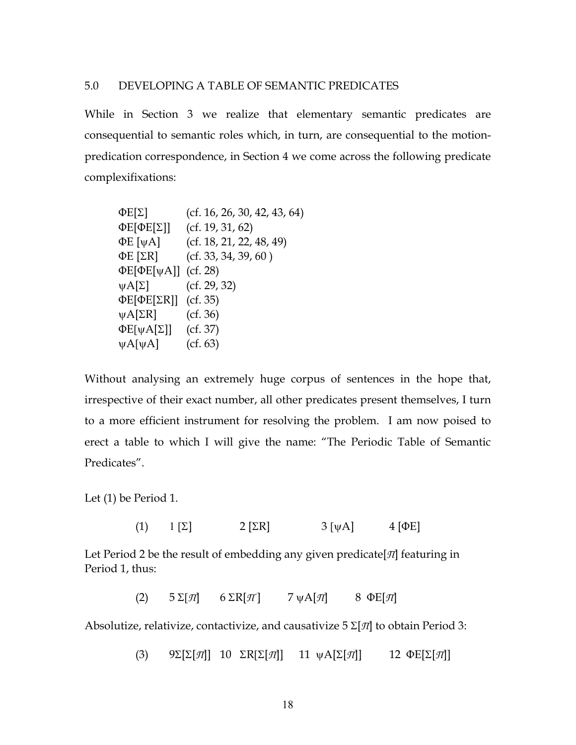#### 5.0 DEVELOPING A TABLE OF SEMANTIC PREDICATES

While in Section 3 we realize that elementary semantic predicates are consequential to semantic roles which, in turn, are consequential to the motionpredication correspondence, in Section 4 we come across the following predicate complexifixations:

$$
ΦE[Σ] (cf. 16, 26, 30, 42, 43, 64)
$$
\n
$$
ΦE[ΦE[Σ]] (cf. 19, 31, 62)
$$
\n
$$
ΦE [ψA] (cf. 18, 21, 22, 48, 49)
$$
\n
$$
ΦE [ΣR] (cf. 33, 34, 39, 60)
$$
\n
$$
ΦE[ΦE[ψA]] (cf. 28)
$$
\n
$$
ψA[Σ] (cf. 29, 32)
$$
\n
$$
ΦE[ΦE[ΣR]] (cf. 35)
$$
\n
$$
ψA[ΣR] (cf. 36)
$$
\n
$$
ΦE[ψA[Σ]] (cf. 37)
$$
\n
$$
ψA[ψA] (cf. 63)
$$

Without analysing an extremely huge corpus of sentences in the hope that, irrespective of their exact number, all other predicates present themselves, I turn to a more efficient instrument for resolving the problem. I am now poised to erect a table to which I will give the name: "The Periodic Table of Semantic Predicates".

Let (1) be Period 1.

(1)  $1 \left[\Sigma\right]$  2  $\left[\Sigma \right]$  3  $\left[\psi A\right]$  4  $\left[\Phi E\right]$ 

Let Period 2 be the result of embedding any given predicate[*Π*] featuring in Period 1, thus:

(2)  $5 \Sigma[\pi]$   $6 \Sigma \Gamma[\pi]$   $7 \psi \Lambda[\pi]$   $8 \Phi \Gamma[\pi]$ 

Absolutize, relativize, contactivize, and causativize 5 Σ[*Π*] to obtain Period 3:

(3) 9Σ[Σ[*Π*]] 10 ΣR[Σ[*Π*]] 11 ψA[Σ[*Π*]] 12 ΦE[Σ[*Π*]]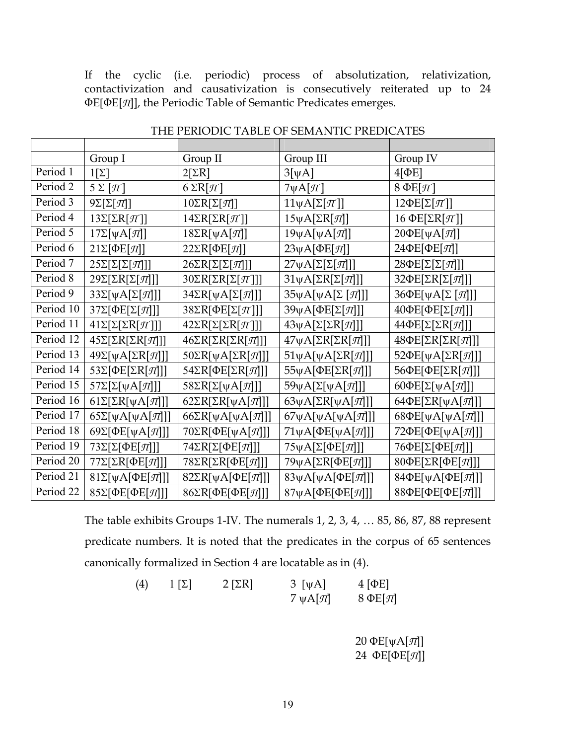If the cyclic (i.e. periodic) process of absolutization, relativization, contactivization and causativization is consecutively reiterated up to 24 ΦE[ΦE[*Π*]], the Periodic Table of Semantic Predicates emerges.

|           | Group I                             | Group II                                      | Group III                           | Group IV                                      |
|-----------|-------------------------------------|-----------------------------------------------|-------------------------------------|-----------------------------------------------|
| Period 1  | $1[\Sigma]$                         | $2[\Sigma R]$                                 | $3[\Psi A]$                         | $4[\PhiE]$                                    |
| Period 2  | $5\Sigma[\pi]$                      | $6 \Sigma R[\pi]$                             | $7\psi A[\pi]$                      | $8 \Phi E[\pi]$                               |
| Period 3  | $9\Sigma[\Sigma[\pi]]$              | $10\Sigma R[\Sigma[\pi]]$                     | $11\psi A[\Sigma[\pi]]$             | $12\Phi E[\Sigma[\pi]]$                       |
| Period 4  | $13\Sigma[\Sigma R[\pi]]$           | $14\Sigma R[\Sigma R[\pi]]$                   | $15\psi A[\Sigma R[\pi]]$           | 16 ΦΕ[Σ $R[\pi]$ ]                            |
| Period 5  | $17\Sigma[\psi A[\pi]]$             | $18\Sigma R[\psi A[\pi]]$                     | $19\psi A[\psi A[\pi]]$             | $20\Phi E[\psi A[\pi]]$                       |
| Period 6  | $21\Sigma[\Phi E[\pi]]$             | $22\Sigma R[\Phi E[\pi]]$                     | $23\psi$ A[ $\Phi$ E[ $\pi$ ]]      | 24ФЕ[ФЕ[П]]                                   |
| Period 7  | $25\Sigma[\Sigma[\Sigma[\pi]]]$     | $26\Sigma R[\Sigma[\Sigma[\pi]]]$             | $27\psi A[\Sigma[\Sigma[\pi]]]$     | $28\Phi E[\Sigma[\Sigma[\pi]]]$               |
| Period 8  | $29\Sigma[\Sigma R[\Sigma[\pi]]]$   | $30\Sigma R[\Sigma R[\Sigma[\pi]]]$           | $31\psi A[\Sigma R[\Sigma[\pi]]]$   | 32 $\Phi$ E[ $\Sigma$ R[ $\Sigma$ [ $\pi$ ]]] |
| Period 9  | $33\Sigma[\psi A[\Sigma[\pi]]]$     | $34\Sigma R[\psi A[\Sigma[\pi]]]$             | $35\psi A[\psi A[\Sigma [\pi]]]$    | 36ΦΕ[ψΑ[Σ [π]]]                               |
| Period 10 | 37Σ[ΦΕ[Σ[ $\pi$ ]]                  | $38\Sigma R[\Phi E[\Sigma[\pi]]]$             | 39ψA[ΦE[Σ[ $\pi$ ]]                 | 40ΦE[ΦE[Σ[π]]]                                |
| Period 11 | $41\Sigma[\Sigma[\Sigma R[\pi]]]$   | $42\Sigma R[\Sigma[\Sigma R[\pi]]]$           | $43\psi A[\Sigma[\Sigma R[\pi]]]$   | $44\Phi E[\Sigma[\Sigma R[\pi]]]$             |
| Period 12 | $45\Sigma[\Sigma R[\Sigma R[\pi]]]$ | $46\Sigma R[\Sigma R[\Sigma R[\pi]]]$         | $47\psi A[\Sigma R[\Sigma R[\pi]]]$ | $48\Phi E[\Sigma R[\Sigma R[\pi]]]$           |
| Period 13 | $49\Sigma[\psi A[\Sigma R[\pi]]]$   | $50\Sigma R[\psi A[\Sigma R[\pi]]]$           | 51ψA[ψA[ΣR[ $\pi$ ]]                | 52 $\Phi$ E[ $\psi$ A[ $\Sigma$ R[ $\pi$ ]]]  |
| Period 14 | 53Σ[ΦΕ[ΣR[ $\pi$ ]]                 | 54ΣR[ΦΕ[ΣR[π]]]                               | 55ψA[ΦE[ΣR[ $\pi$ ]]                | 56ΦE[ΦΕ[ΣR[ $\pi$ ]]                          |
| Period 15 | $57\Sigma[\Sigma[\Psi A[\pi]]]$     | $58\Sigma R[\Sigma[\Psi A[\pi]]]$             | 59ψA[Σ[ψA[ $\pi$ ]]]                | 60 $\Phi$ E[ $\Sigma[\psi A[\pi]]$ ]          |
| Period 16 | $61\Sigma[\Sigma R[\psi A[\pi]]]$   | 62 $\Sigma$ R[ $\Sigma$ R[ $\psi$ A[ $\pi$ ]] | 63yA[ $\Sigma$ R[yA[ $\pi$ ]]]      | 64 $\Phi$ E[ $\Sigma$ R[ $\psi$ A[ $\pi$ ]]]  |
| Period 17 | $65\Sigma[\psi A[\psi A[\pi]]]$     | 66 $\Sigma$ R[ $\psi$ A[ $\psi$ A[ $\pi$ ]]]  | 67yA[yA[yA[ $\pi$ ]]]               | 68 $\Phi$ E[ $\psi$ A[ $\psi$ A[ $\pi$ ]]]    |
| Period 18 | 69 $\Sigma[\Phi E[\psi A[\pi]]]$    | $70\Sigma R[\Phi E[\psi A[\pi]]]$             | 71ψA[ΦΕ[ψA[ $\pi$ ]]]               | 72 $\Phi$ E[ $\Phi$ E[ $\psi$ A[ $\pi$ ]]     |
| Period 19 | $73\Sigma[\Sigma[\Phi E[\pi]]]$     | $74\Sigma R[\Sigma[\Phi E]\pi]]$              | $75\psi A[\Sigma[\Phi E[\pi]]]$     | 76ΦΕ[Σ[ΦΕ[π]]]                                |
| Period 20 | $77\Sigma[\Sigma R[\Phi E[\pi]]]$   | $78\Sigma R[\Sigma R[\Phi E[\pi]]]$           | 79ψA[ΣR[ΦΕ[π]]]                     | 80ΦΕ[ΣR[ΦΕ[π]]]                               |
| Period 21 | $81\Sigma[\psi A[\Phi E[\pi]]]$     | $82\Sigma R[\psi A[\Phi E[\pi]]]$             | 83γA[γA[ΦE[ $\pi$ ]]]               | 84ΦΕ[γΑ[ΦΕ[π]]]                               |
| Period 22 | 85Σ[ΦΕ[ΦΕ[π]]]                      | 86ΣR[ΦΕ[ΦΕ[π]]]                               | 87ψA[ΦΕ[ΦΕ[π]]]                     | 88ΦΕ[ΦΕ[ΦΕ[π]]]                               |

THE PERIODIC TABLE OF SEMANTIC PREDICATES

The table exhibits Groups 1-IV. The numerals 1, 2, 3, 4, … 85, 86, 87, 88 represent predicate numbers. It is noted that the predicates in the corpus of 65 sentences canonically formalized in Section 4 are locatable as in (4).

| (4) | $1 \Sigma$ | $2$ [ $\Sigma$ R] | $3 \left[\psi A\right]$ | $4$ [ $\Phi$ E] |
|-----|------------|-------------------|-------------------------|-----------------|
|     |            |                   | 7 $\psi$ A[ $\pi$ ]     | $8 \Phi E[\pi]$ |

 20 ΦE[ψA[*Π*]] 24 ΦE[ΦE[*Π*]]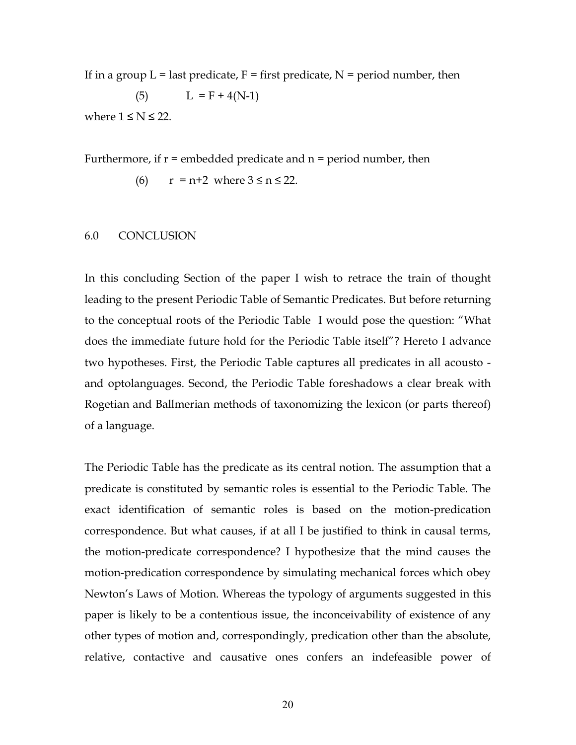If in a group  $L =$  last predicate,  $F =$  first predicate,  $N =$  period number, then (5)  $L = F + 4(N-1)$ where  $1 \leq N \leq 22$ .

Furthermore, if  $r =$  embedded predicate and  $n =$  period number, then

(6) 
$$
r = n + 2
$$
 where  $3 \le n \le 22$ .

#### 6.0 CONCLUSION

In this concluding Section of the paper I wish to retrace the train of thought leading to the present Periodic Table of Semantic Predicates. But before returning to the conceptual roots of the Periodic Table I would pose the question: "What does the immediate future hold for the Periodic Table itself"? Hereto I advance two hypotheses. First, the Periodic Table captures all predicates in all acousto and optolanguages. Second, the Periodic Table foreshadows a clear break with Rogetian and Ballmerian methods of taxonomizing the lexicon (or parts thereof) of a language.

The Periodic Table has the predicate as its central notion. The assumption that a predicate is constituted by semantic roles is essential to the Periodic Table. The exact identification of semantic roles is based on the motion-predication correspondence. But what causes, if at all I be justified to think in causal terms, the motion-predicate correspondence? I hypothesize that the mind causes the motion-predication correspondence by simulating mechanical forces which obey Newton's Laws of Motion. Whereas the typology of arguments suggested in this paper is likely to be a contentious issue, the inconceivability of existence of any other types of motion and, correspondingly, predication other than the absolute, relative, contactive and causative ones confers an indefeasible power of